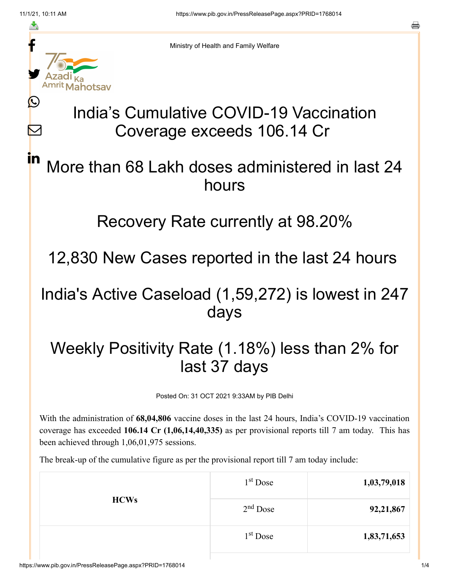≛

Ŀ

 $\bm{\nabla}$ 

in



Ministry of Health and Family Welfare

# India's Cumulative COVID-19 Vaccination Coverage exceeds 106.14 Cr

## More than 68 Lakh doses administered in last 24 hours

#### Recovery Rate currently at 98.20%

12,830 New Cases reported in the last 24 hours

### India's Active Caseload (1,59,272) is lowest in 247 days

## Weekly Positivity Rate (1.18%) less than 2% for last 37 days

Posted On: 31 OCT 2021 9:33AM by PIB Delhi

With the administration of **68,04,806** vaccine doses in the last 24 hours, India's COVID-19 vaccination coverage has exceeded **106.14 Cr (1,06,14,40,335)** as per provisional reports till 7 am today. This has been achieved through 1,06,01,975 sessions.

The break-up of the cumulative figure as per the provisional report till 7 am today include:

| <b>HCWs</b> | $1st$ Dose           | 1,03,79,018 |
|-------------|----------------------|-------------|
|             | $2nd$ Dose           | 92,21,867   |
|             | 1 <sup>st</sup> Dose | 1,83,71,653 |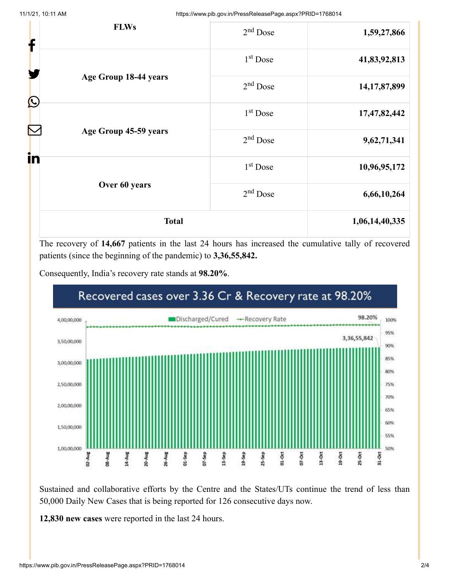11/1/21, 10:11 AM https://www.pib.gov.in/PressReleasePage.aspx?PRID=1768014

| <b>Total</b>     |                       | 1,06,14,40,335       |                 |
|------------------|-----------------------|----------------------|-----------------|
|                  | Over 60 years         | $2nd$ Dose           | 6,66,10,264     |
| in               | $1st$ Dose            | 10,96,95,172         |                 |
|                  | Age Group 45-59 years | $2nd$ Dose           | 9,62,71,341     |
|                  |                       | 1 <sup>st</sup> Dose | 17,47,82,442    |
| $\bigcirc$       | Age Group 18-44 years | $2nd$ Dose           | 14, 17, 87, 899 |
| <b>FLWs</b><br>f |                       | $1st$ Dose           | 41,83,92,813    |
|                  |                       | $2nd$ Dose           | 1,59,27,866     |
|                  |                       |                      |                 |

The recovery of **14,667** patients in the last 24 hours has increased the cumulative tally of recovered patients (since the beginning of the pandemic) to **3,36,55,842.**





Sustained and collaborative efforts by the Centre and the States/UTs continue the trend of less than 50,000 Daily New Cases that is being reported for 126 consecutive days now.

**12,830 new cases** were reported in the last 24 hours.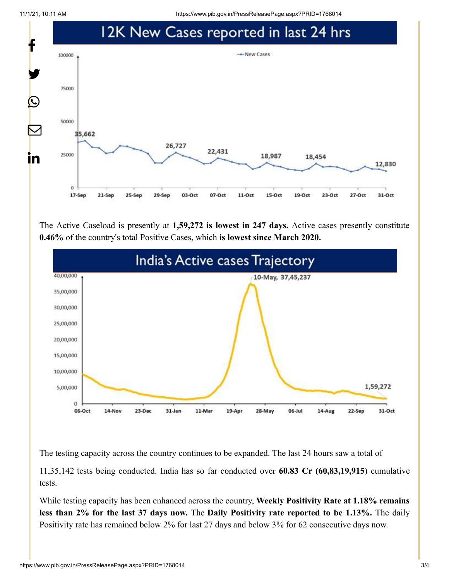11/1/21, 10:11 AM https://www.pib.gov.in/PressReleasePage.aspx?PRID=1768014



The Active Caseload is presently at **1,59,272 is lowest in 247 days.** Active cases presently constitute **0.46%** of the country's total Positive Cases, which **is lowest since March 2020.**



The testing capacity across the country continues to be expanded. The last 24 hours saw a total of

11,35,142 tests being conducted. India has so far conducted over **60.83 Cr (60,83,19,915**) cumulative tests.

While testing capacity has been enhanced across the country, **Weekly Positivity Rate at 1.18% remains less than 2% for the last 37 days now.** The **Daily Positivity rate reported to be 1.13%.** The daily Positivity rate has remained below 2% for last 27 days and below 3% for 62 consecutive days now.